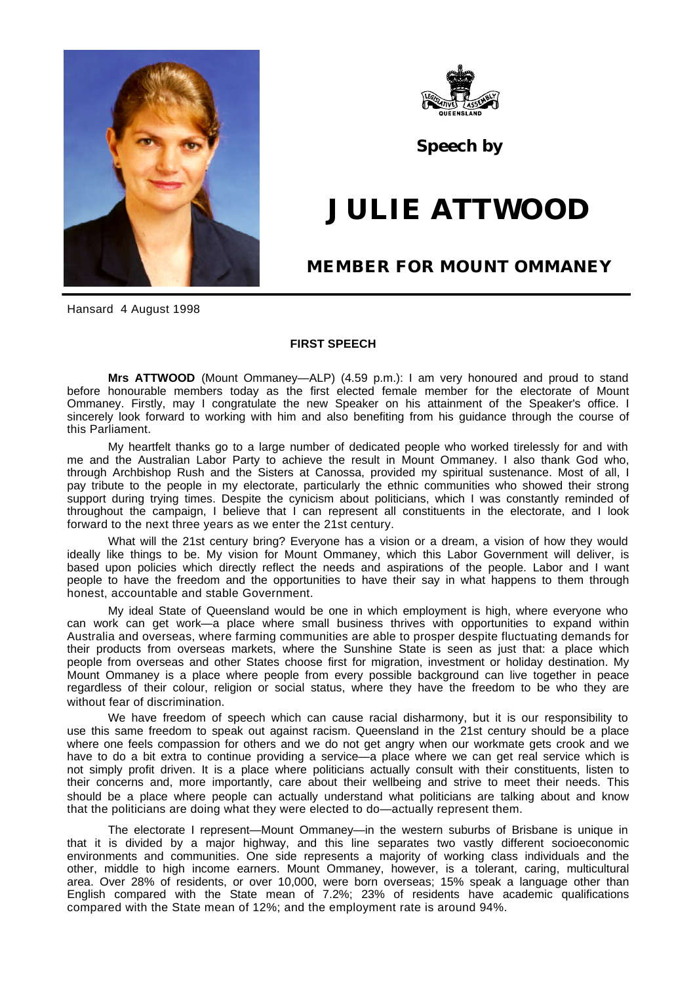



**Speech by**

## **JULIE ATTWOOD**

## **MEMBER FOR MOUNT OMMANEY**

Hansard 4 August 1998

## **FIRST SPEECH**

**Mrs ATTWOOD** (Mount Ommaney—ALP) (4.59 p.m.): I am very honoured and proud to stand before honourable members today as the first elected female member for the electorate of Mount Ommaney. Firstly, may I congratulate the new Speaker on his attainment of the Speaker's office. I sincerely look forward to working with him and also benefiting from his guidance through the course of this Parliament.

My heartfelt thanks go to a large number of dedicated people who worked tirelessly for and with me and the Australian Labor Party to achieve the result in Mount Ommaney. I also thank God who, through Archbishop Rush and the Sisters at Canossa, provided my spiritual sustenance. Most of all, I pay tribute to the people in my electorate, particularly the ethnic communities who showed their strong support during trying times. Despite the cynicism about politicians, which I was constantly reminded of throughout the campaign, I believe that I can represent all constituents in the electorate, and I look forward to the next three years as we enter the 21st century.

What will the 21st century bring? Everyone has a vision or a dream, a vision of how they would ideally like things to be. My vision for Mount Ommaney, which this Labor Government will deliver, is based upon policies which directly reflect the needs and aspirations of the people. Labor and I want people to have the freedom and the opportunities to have their say in what happens to them through honest, accountable and stable Government.

My ideal State of Queensland would be one in which employment is high, where everyone who can work can get work—a place where small business thrives with opportunities to expand within Australia and overseas, where farming communities are able to prosper despite fluctuating demands for their products from overseas markets, where the Sunshine State is seen as just that: a place which people from overseas and other States choose first for migration, investment or holiday destination. My Mount Ommaney is a place where people from every possible background can live together in peace regardless of their colour, religion or social status, where they have the freedom to be who they are without fear of discrimination.

We have freedom of speech which can cause racial disharmony, but it is our responsibility to use this same freedom to speak out against racism. Queensland in the 21st century should be a place where one feels compassion for others and we do not get angry when our workmate gets crook and we have to do a bit extra to continue providing a service—a place where we can get real service which is not simply profit driven. It is a place where politicians actually consult with their constituents, listen to their concerns and, more importantly, care about their wellbeing and strive to meet their needs. This should be a place where people can actually understand what politicians are talking about and know that the politicians are doing what they were elected to do—actually represent them.

The electorate I represent—Mount Ommaney—in the western suburbs of Brisbane is unique in that it is divided by a major highway, and this line separates two vastly different socioeconomic environments and communities. One side represents a majority of working class individuals and the other, middle to high income earners. Mount Ommaney, however, is a tolerant, caring, multicultural area. Over 28% of residents, or over 10,000, were born overseas; 15% speak a language other than English compared with the State mean of 7.2%; 23% of residents have academic qualifications compared with the State mean of 12%; and the employment rate is around 94%.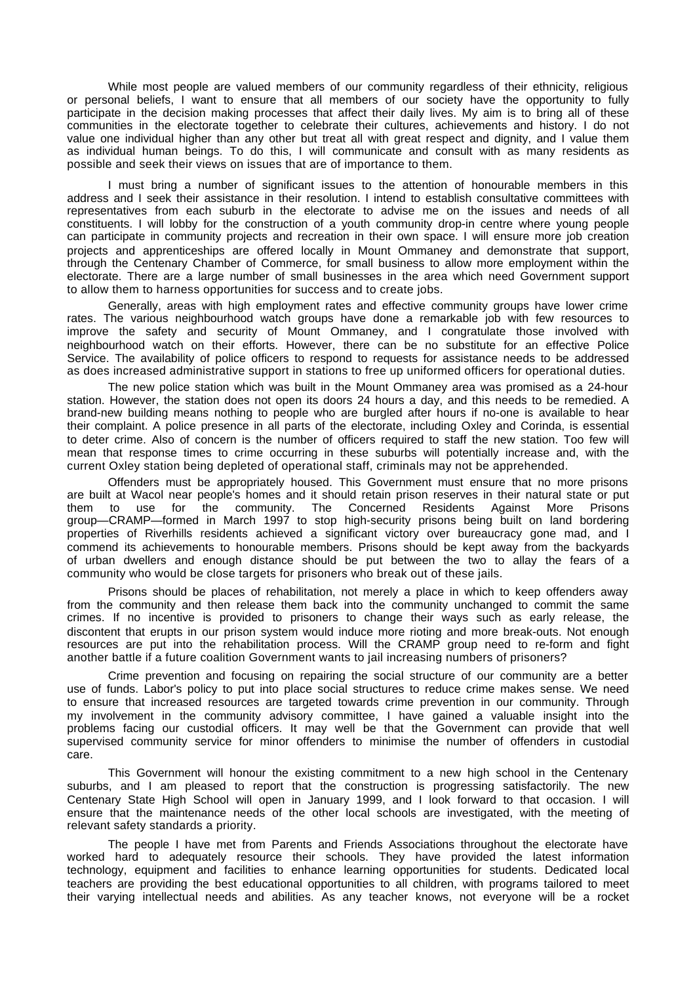While most people are valued members of our community regardless of their ethnicity, religious or personal beliefs, I want to ensure that all members of our society have the opportunity to fully participate in the decision making processes that affect their daily lives. My aim is to bring all of these communities in the electorate together to celebrate their cultures, achievements and history. I do not value one individual higher than any other but treat all with great respect and dignity, and I value them as individual human beings. To do this, I will communicate and consult with as many residents as possible and seek their views on issues that are of importance to them.

I must bring a number of significant issues to the attention of honourable members in this address and I seek their assistance in their resolution. I intend to establish consultative committees with representatives from each suburb in the electorate to advise me on the issues and needs of all constituents. I will lobby for the construction of a youth community drop-in centre where young people can participate in community projects and recreation in their own space. I will ensure more job creation projects and apprenticeships are offered locally in Mount Ommaney and demonstrate that support, through the Centenary Chamber of Commerce, for small business to allow more employment within the electorate. There are a large number of small businesses in the area which need Government support to allow them to harness opportunities for success and to create jobs.

Generally, areas with high employment rates and effective community groups have lower crime rates. The various neighbourhood watch groups have done a remarkable job with few resources to improve the safety and security of Mount Ommaney, and I congratulate those involved with neighbourhood watch on their efforts. However, there can be no substitute for an effective Police Service. The availability of police officers to respond to requests for assistance needs to be addressed as does increased administrative support in stations to free up uniformed officers for operational duties.

The new police station which was built in the Mount Ommaney area was promised as a 24-hour station. However, the station does not open its doors 24 hours a day, and this needs to be remedied. A brand-new building means nothing to people who are burgled after hours if no-one is available to hear their complaint. A police presence in all parts of the electorate, including Oxley and Corinda, is essential to deter crime. Also of concern is the number of officers required to staff the new station. Too few will mean that response times to crime occurring in these suburbs will potentially increase and, with the current Oxley station being depleted of operational staff, criminals may not be apprehended.

Offenders must be appropriately housed. This Government must ensure that no more prisons are built at Wacol near people's homes and it should retain prison reserves in their natural state or put them to use for the community. The Concerned Residents Against More Prisons group—CRAMP—formed in March 1997 to stop high-security prisons being built on land bordering properties of Riverhills residents achieved a significant victory over bureaucracy gone mad, and I commend its achievements to honourable members. Prisons should be kept away from the backyards of urban dwellers and enough distance should be put between the two to allay the fears of a community who would be close targets for prisoners who break out of these jails.

Prisons should be places of rehabilitation, not merely a place in which to keep offenders away from the community and then release them back into the community unchanged to commit the same crimes. If no incentive is provided to prisoners to change their ways such as early release, the discontent that erupts in our prison system would induce more rioting and more break-outs. Not enough resources are put into the rehabilitation process. Will the CRAMP group need to re-form and fight another battle if a future coalition Government wants to jail increasing numbers of prisoners?

Crime prevention and focusing on repairing the social structure of our community are a better use of funds. Labor's policy to put into place social structures to reduce crime makes sense. We need to ensure that increased resources are targeted towards crime prevention in our community. Through my involvement in the community advisory committee, I have gained a valuable insight into the problems facing our custodial officers. It may well be that the Government can provide that well supervised community service for minor offenders to minimise the number of offenders in custodial care.

This Government will honour the existing commitment to a new high school in the Centenary suburbs, and I am pleased to report that the construction is progressing satisfactorily. The new Centenary State High School will open in January 1999, and I look forward to that occasion. I will ensure that the maintenance needs of the other local schools are investigated, with the meeting of relevant safety standards a priority.

The people I have met from Parents and Friends Associations throughout the electorate have worked hard to adequately resource their schools. They have provided the latest information technology, equipment and facilities to enhance learning opportunities for students. Dedicated local teachers are providing the best educational opportunities to all children, with programs tailored to meet their varying intellectual needs and abilities. As any teacher knows, not everyone will be a rocket